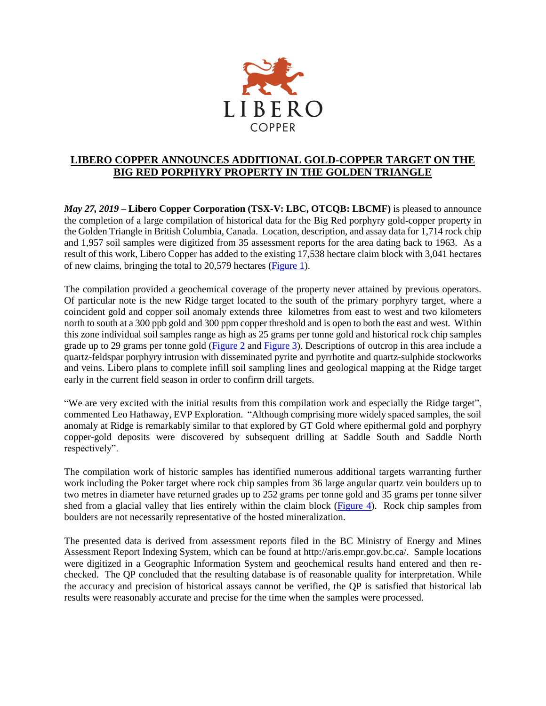

## **LIBERO COPPER ANNOUNCES ADDITIONAL GOLD-COPPER TARGET ON THE BIG RED PORPHYRY PROPERTY IN THE GOLDEN TRIANGLE**

*May 27, 2019* **– Libero Copper Corporation (TSX-V: LBC, OTCQB: LBCMF)** is pleased to announce the completion of a large compilation of historical data for the Big Red porphyry gold-copper property in the Golden Triangle in British Columbia, Canada. Location, description, and assay data for 1,714 rock chip and 1,957 soil samples were digitized from 35 assessment reports for the area dating back to 1963. As a result of this work, Libero Copper has added to the existing 17,538 hectare claim block with 3,041 hectares of new claims, bringing the total to 20,579 hectares [\(Figure 1\)](http://liberocopper.com/_resources/bigred/Big-Red-Figure-3.pdf).

The compilation provided a geochemical coverage of the property never attained by previous operators. Of particular note is the new Ridge target located to the south of the primary porphyry target, where a coincident gold and copper soil anomaly extends three kilometres from east to west and two kilometers north to south at a 300 ppb gold and 300 ppm copper threshold and is open to both the east and west. Within this zone individual soil samples range as high as 25 grams per tonne gold and historical rock chip samples grade up to 29 grams per tonne gold [\(Figure 2](http://liberocopper.com/_resources/bigred/Big-Red-Figure-4.pdf) and [Figure 3\)](http://liberocopper.com/_resources/bigred/Big-Red-Figure-5.pdf). Descriptions of outcrop in this area include a quartz-feldspar porphyry intrusion with disseminated pyrite and pyrrhotite and quartz-sulphide stockworks and veins. Libero plans to complete infill soil sampling lines and geological mapping at the Ridge target early in the current field season in order to confirm drill targets.

"We are very excited with the initial results from this compilation work and especially the Ridge target", commented Leo Hathaway, EVP Exploration. "Although comprising more widely spaced samples, the soil anomaly at Ridge is remarkably similar to that explored by GT Gold where epithermal gold and porphyry copper-gold deposits were discovered by subsequent drilling at Saddle South and Saddle North respectively".

The compilation work of historic samples has identified numerous additional targets warranting further work including the Poker target where rock chip samples from 36 large angular quartz vein boulders up to two metres in diameter have returned grades up to 252 grams per tonne gold and 35 grams per tonne silver shed from a glacial valley that lies entirely within the claim block [\(Figure 4\)](http://liberocopper.com/_resources/bigred/Big-Red-Figure-6.pdf). Rock chip samples from boulders are not necessarily representative of the hosted mineralization.

The presented data is derived from assessment reports filed in the BC Ministry of Energy and Mines Assessment Report Indexing System, which can be found at http://aris.empr.gov.bc.ca/. Sample locations were digitized in a Geographic Information System and geochemical results hand entered and then rechecked. The QP concluded that the resulting database is of reasonable quality for interpretation. While the accuracy and precision of historical assays cannot be verified, the QP is satisfied that historical lab results were reasonably accurate and precise for the time when the samples were processed.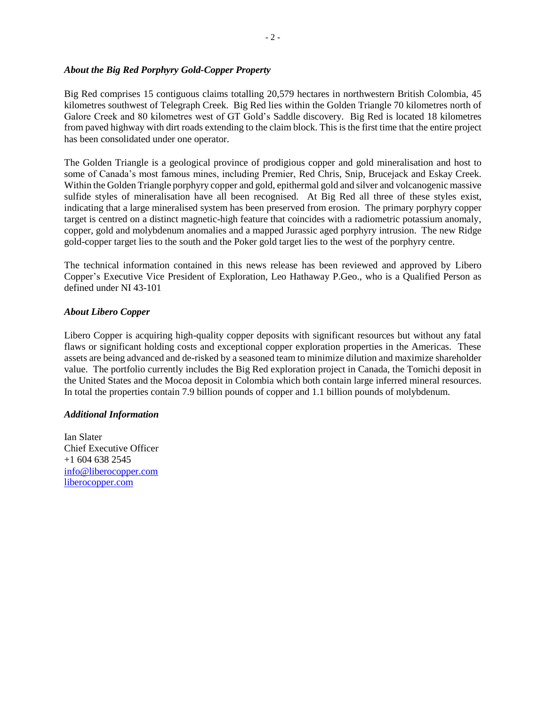## *About the Big Red Porphyry Gold-Copper Property*

Big Red comprises 15 contiguous claims totalling 20,579 hectares in northwestern British Colombia, 45 kilometres southwest of Telegraph Creek. Big Red lies within the Golden Triangle 70 kilometres north of Galore Creek and 80 kilometres west of GT Gold's Saddle discovery. Big Red is located 18 kilometres from paved highway with dirt roads extending to the claim block. This is the first time that the entire project has been consolidated under one operator.

The Golden Triangle is a geological province of prodigious copper and gold mineralisation and host to some of Canada's most famous mines, including Premier, Red Chris, Snip, Brucejack and Eskay Creek. Within the Golden Triangle porphyry copper and gold, epithermal gold and silver and volcanogenic massive sulfide styles of mineralisation have all been recognised. At Big Red all three of these styles exist, indicating that a large mineralised system has been preserved from erosion. The primary porphyry copper target is centred on a distinct magnetic-high feature that coincides with a radiometric potassium anomaly, copper, gold and molybdenum anomalies and a mapped Jurassic aged porphyry intrusion. The new Ridge gold-copper target lies to the south and the Poker gold target lies to the west of the porphyry centre.

The technical information contained in this news release has been reviewed and approved by Libero Copper's Executive Vice President of Exploration, Leo Hathaway P.Geo., who is a Qualified Person as defined under NI 43-101

## *About Libero Copper*

Libero Copper is acquiring high-quality copper deposits with significant resources but without any fatal flaws or significant holding costs and exceptional copper exploration properties in the Americas. These assets are being advanced and de-risked by a seasoned team to minimize dilution and maximize shareholder value. The portfolio currently includes the Big Red exploration project in Canada, the Tomichi deposit in the United States and the Mocoa deposit in Colombia which both contain large inferred mineral resources. In total the properties contain 7.9 billion pounds of copper and 1.1 billion pounds of molybdenum.

## *Additional Information*

Ian Slater Chief Executive Officer +1 604 638 2545 [info@liberocopper.com](mailto:info@liberocopper.com)  [liberocopper.com](file:///C:/Users/leohathaway/Downloads/www.liberocopper.com)